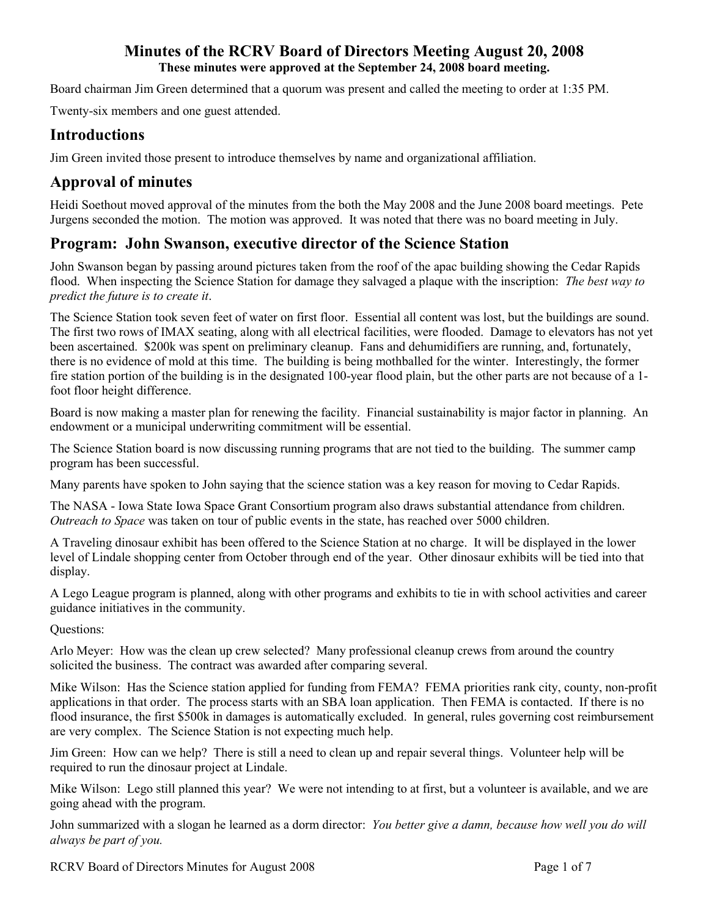Board chairman Jim Green determined that a quorum was present and called the meeting to order at 1:35 PM.

Twenty-six members and one guest attended.

# **Introductions**

Jim Green invited those present to introduce themselves by name and organizational affiliation.

# **Approval of minutes**

Heidi Soethout moved approval of the minutes from the both the May 2008 and the June 2008 board meetings. Pete Jurgens seconded the motion. The motion was approved. It was noted that there was no board meeting in July.

# **Program: John Swanson, executive director of the Science Station**

John Swanson began by passing around pictures taken from the roof of the apac building showing the Cedar Rapids flood. When inspecting the Science Station for damage they salvaged a plaque with the inscription: *The best way to predict the future is to create it*.

The Science Station took seven feet of water on first floor. Essential all content was lost, but the buildings are sound. The first two rows of IMAX seating, along with all electrical facilities, were flooded. Damage to elevators has not yet been ascertained. \$200k was spent on preliminary cleanup. Fans and dehumidifiers are running, and, fortunately, there is no evidence of mold at this time. The building is being mothballed for the winter. Interestingly, the former fire station portion of the building is in the designated 100-year flood plain, but the other parts are not because of a 1 foot floor height difference.

Board is now making a master plan for renewing the facility. Financial sustainability is major factor in planning. An endowment or a municipal underwriting commitment will be essential.

The Science Station board is now discussing running programs that are not tied to the building. The summer camp program has been successful.

Many parents have spoken to John saying that the science station was a key reason for moving to Cedar Rapids.

The NASA - Iowa State Iowa Space Grant Consortium program also draws substantial attendance from children. *Outreach to Space* was taken on tour of public events in the state, has reached over 5000 children.

A Traveling dinosaur exhibit has been offered to the Science Station at no charge. It will be displayed in the lower level of Lindale shopping center from October through end of the year. Other dinosaur exhibits will be tied into that display.

A Lego League program is planned, along with other programs and exhibits to tie in with school activities and career guidance initiatives in the community.

Questions:

Arlo Meyer: How was the clean up crew selected? Many professional cleanup crews from around the country solicited the business. The contract was awarded after comparing several.

Mike Wilson: Has the Science station applied for funding from FEMA? FEMA priorities rank city, county, non-profit applications in that order. The process starts with an SBA loan application. Then FEMA is contacted. If there is no flood insurance, the first \$500k in damages is automatically excluded. In general, rules governing cost reimbursement are very complex. The Science Station is not expecting much help.

Jim Green: How can we help? There is still a need to clean up and repair several things. Volunteer help will be required to run the dinosaur project at Lindale.

Mike Wilson: Lego still planned this year? We were not intending to at first, but a volunteer is available, and we are going ahead with the program.

John summarized with a slogan he learned as a dorm director: *You better give a damn, because how well you do will always be part of you.*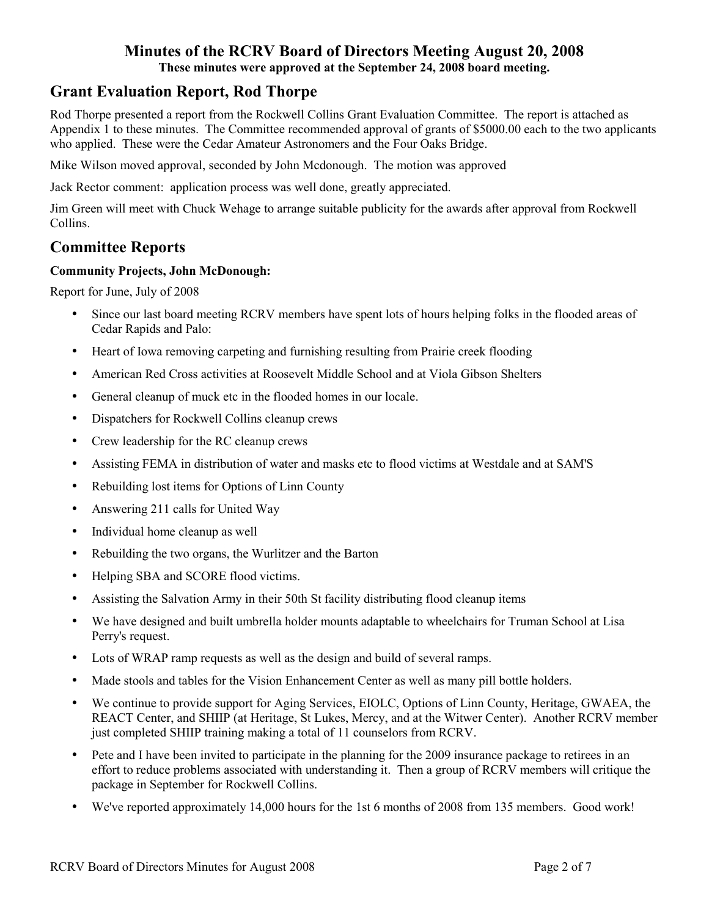# **Grant Evaluation Report, Rod Thorpe**

Rod Thorpe presented a report from the Rockwell Collins Grant Evaluation Committee. The report is attached as Appendix 1 to these minutes. The Committee recommended approval of grants of \$5000.00 each to the two applicants who applied. These were the Cedar Amateur Astronomers and the Four Oaks Bridge.

Mike Wilson moved approval, seconded by John Mcdonough. The motion was approved

Jack Rector comment: application process was well done, greatly appreciated.

Jim Green will meet with Chuck Wehage to arrange suitable publicity for the awards after approval from Rockwell Collins.

# **Committee Reports**

## **Community Projects, John McDonough:**

Report for June, July of 2008

- Since our last board meeting RCRV members have spent lots of hours helping folks in the flooded areas of Cedar Rapids and Palo:
- Heart of Iowa removing carpeting and furnishing resulting from Prairie creek flooding
- American Red Cross activities at Roosevelt Middle School and at Viola Gibson Shelters
- General cleanup of muck etc in the flooded homes in our locale.
- Dispatchers for Rockwell Collins cleanup crews
- Crew leadership for the RC cleanup crews
- Assisting FEMA in distribution of water and masks etc to flood victims at Westdale and at SAM'S
- Rebuilding lost items for Options of Linn County
- Answering 211 calls for United Way
- Individual home cleanup as well
- Rebuilding the two organs, the Wurlitzer and the Barton
- Helping SBA and SCORE flood victims.
- Assisting the Salvation Army in their 50th St facility distributing flood cleanup items
- We have designed and built umbrella holder mounts adaptable to wheelchairs for Truman School at Lisa Perry's request.
- Lots of WRAP ramp requests as well as the design and build of several ramps.
- Made stools and tables for the Vision Enhancement Center as well as many pill bottle holders.
- We continue to provide support for Aging Services, EIOLC, Options of Linn County, Heritage, GWAEA, the REACT Center, and SHIIP (at Heritage, St Lukes, Mercy, and at the Witwer Center). Another RCRV member just completed SHIIP training making a total of 11 counselors from RCRV.
- Pete and I have been invited to participate in the planning for the 2009 insurance package to retirees in an effort to reduce problems associated with understanding it. Then a group of RCRV members will critique the package in September for Rockwell Collins.
- We've reported approximately 14,000 hours for the 1st 6 months of 2008 from 135 members. Good work!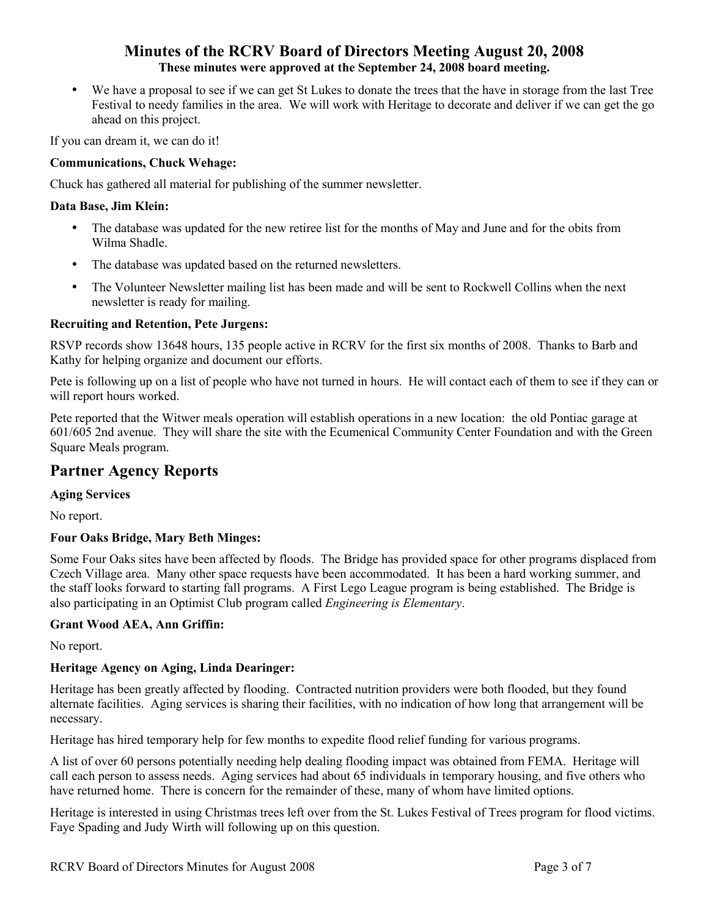• We have a proposal to see if we can get St Lukes to donate the trees that the have in storage from the last Tree Festival to needy families in the area. We will work with Heritage to decorate and deliver if we can get the go ahead on this project.

If you can dream it, we can do it!

### **Communications, Chuck Wehage:**

Chuck has gathered all material for publishing of the summer newsletter.

#### **Data Base, Jim Klein:**

- The database was updated for the new retiree list for the months of May and June and for the obits from Wilma Shadle.
- The database was updated based on the returned newsletters.
- The Volunteer Newsletter mailing list has been made and will be sent to Rockwell Collins when the next newsletter is ready for mailing.

#### **Recruiting and Retention, Pete Jurgens:**

RSVP records show 13648 hours, 135 people active in RCRV for the first six months of 2008. Thanks to Barb and Kathy for helping organize and document our efforts.

Pete is following up on a list of people who have not turned in hours. He will contact each of them to see if they can or will report hours worked.

Pete reported that the Witwer meals operation will establish operations in a new location: the old Pontiac garage at 601/605 2nd avenue. They will share the site with the Ecumenical Community Center Foundation and with the Green Square Meals program.

## **Partner Agency Reports**

#### **Aging Services**

No report.

### **Four Oaks Bridge, Mary Beth Minges:**

Some Four Oaks sites have been affected by floods. The Bridge has provided space for other programs displaced from Czech Village area. Many other space requests have been accommodated. It has been a hard working summer, and the staff looks forward to starting fall programs. A First Lego League program is being established. The Bridge is also participating in an Optimist Club program called *Engineering is Elementary*.

#### **Grant Wood AEA, Ann Griffin:**

No report.

### **Heritage Agency on Aging, Linda Dearinger:**

Heritage has been greatly affected by flooding. Contracted nutrition providers were both flooded, but they found alternate facilities. Aging services is sharing their facilities, with no indication of how long that arrangement will be necessary.

Heritage has hired temporary help for few months to expedite flood relief funding for various programs.

A list of over 60 persons potentially needing help dealing flooding impact was obtained from FEMA. Heritage will call each person to assess needs. Aging services had about 65 individuals in temporary housing, and five others who have returned home. There is concern for the remainder of these, many of whom have limited options.

Heritage is interested in using Christmas trees left over from the St. Lukes Festival of Trees program for flood victims. Faye Spading and Judy Wirth will following up on this question.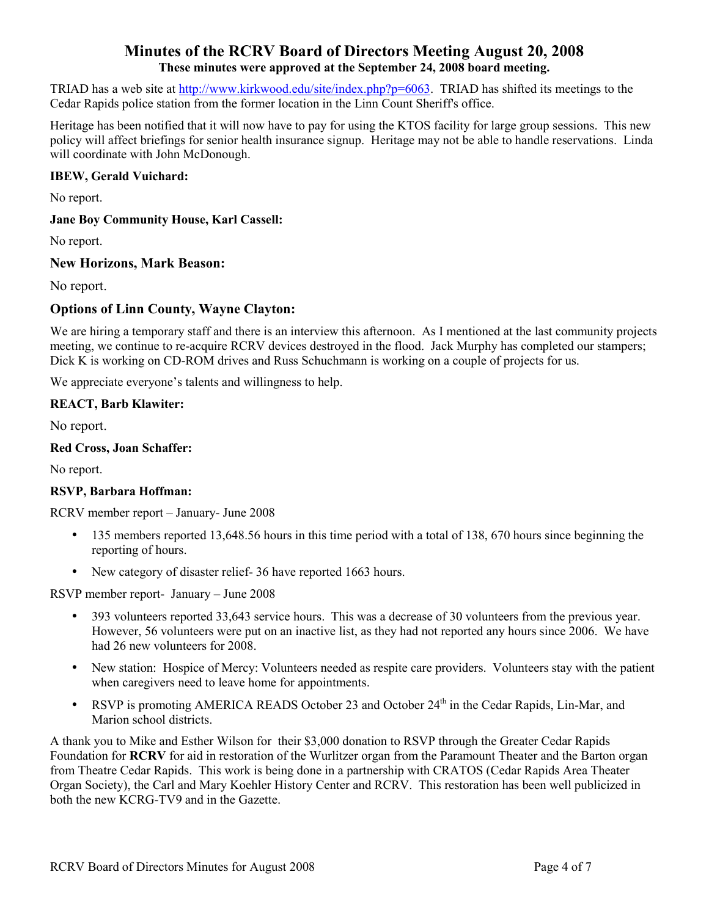TRIAD has a web site at http://www.kirkwood.edu/site/index.php?p=6063. TRIAD has shifted its meetings to the Cedar Rapids police station from the former location in the Linn Count Sheriff's office.

Heritage has been notified that it will now have to pay for using the KTOS facility for large group sessions. This new policy will affect briefings for senior health insurance signup. Heritage may not be able to handle reservations. Linda will coordinate with John McDonough.

#### **IBEW, Gerald Vuichard:**

No report.

#### **Jane Boy Community House, Karl Cassell:**

No report.

#### **New Horizons, Mark Beason:**

No report.

### **Options of Linn County, Wayne Clayton:**

We are hiring a temporary staff and there is an interview this afternoon. As I mentioned at the last community projects meeting, we continue to re-acquire RCRV devices destroyed in the flood. Jack Murphy has completed our stampers; Dick K is working on CD-ROM drives and Russ Schuchmann is working on a couple of projects for us.

We appreciate everyone's talents and willingness to help.

#### **REACT, Barb Klawiter:**

No report.

#### **Red Cross, Joan Schaffer:**

No report.

#### **RSVP, Barbara Hoffman:**

RCRV member report – January- June 2008

- 135 members reported 13,648.56 hours in this time period with a total of 138, 670 hours since beginning the reporting of hours.
- New category of disaster relief-36 have reported 1663 hours.

RSVP member report- January – June 2008

- 393 volunteers reported 33,643 service hours. This was a decrease of 30 volunteers from the previous year. However, 56 volunteers were put on an inactive list, as they had not reported any hours since 2006. We have had 26 new volunteers for 2008.
- New station: Hospice of Mercy: Volunteers needed as respite care providers. Volunteers stay with the patient when caregivers need to leave home for appointments.
- RSVP is promoting AMERICA READS October 23 and October  $24<sup>th</sup>$  in the Cedar Rapids, Lin-Mar, and Marion school districts.

A thank you to Mike and Esther Wilson for their \$3,000 donation to RSVP through the Greater Cedar Rapids Foundation for **RCRV** for aid in restoration of the Wurlitzer organ from the Paramount Theater and the Barton organ from Theatre Cedar Rapids. This work is being done in a partnership with CRATOS (Cedar Rapids Area Theater Organ Society), the Carl and Mary Koehler History Center and RCRV. This restoration has been well publicized in both the new KCRG-TV9 and in the Gazette.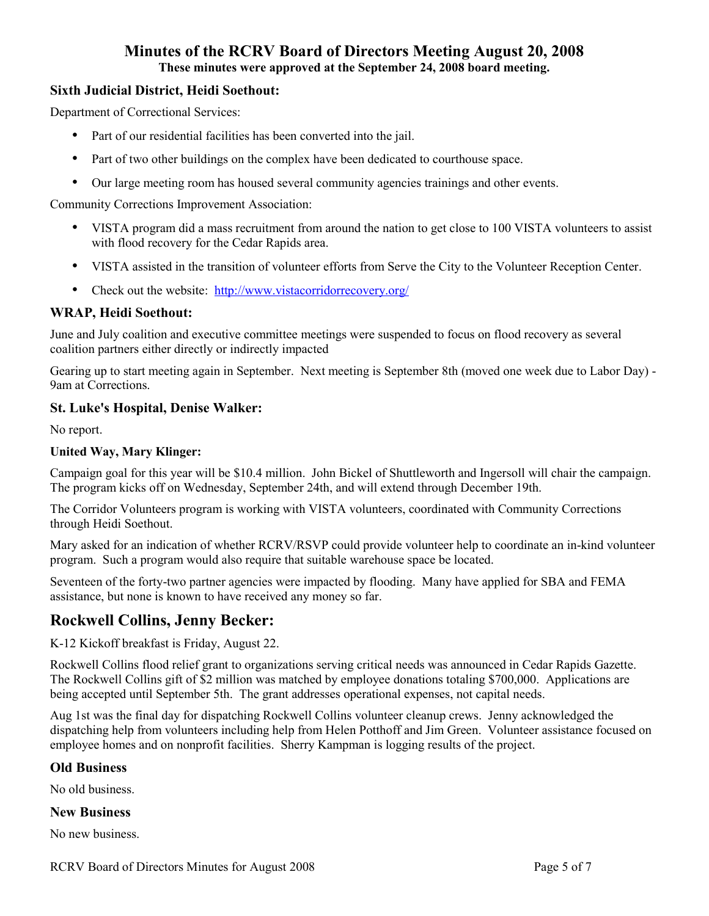# **Minutes of the RCRV Board of Directors Meeting August 20, 2008**

**These minutes were approved at the September 24, 2008 board meeting.** 

### **Sixth Judicial District, Heidi Soethout:**

Department of Correctional Services:

- Part of our residential facilities has been converted into the jail.
- Part of two other buildings on the complex have been dedicated to courthouse space.
- Our large meeting room has housed several community agencies trainings and other events.

Community Corrections Improvement Association:

- VISTA program did a mass recruitment from around the nation to get close to 100 VISTA volunteers to assist with flood recovery for the Cedar Rapids area.
- VISTA assisted in the transition of volunteer efforts from Serve the City to the Volunteer Reception Center.
- Check out the website: http://www.vistacorridorrecovery.org/

#### **WRAP, Heidi Soethout:**

June and July coalition and executive committee meetings were suspended to focus on flood recovery as several coalition partners either directly or indirectly impacted

Gearing up to start meeting again in September. Next meeting is September 8th (moved one week due to Labor Day) - 9am at Corrections.

#### **St. Luke's Hospital, Denise Walker:**

No report.

#### **United Way, Mary Klinger:**

Campaign goal for this year will be \$10.4 million. John Bickel of Shuttleworth and Ingersoll will chair the campaign. The program kicks off on Wednesday, September 24th, and will extend through December 19th.

The Corridor Volunteers program is working with VISTA volunteers, coordinated with Community Corrections through Heidi Soethout.

Mary asked for an indication of whether RCRV/RSVP could provide volunteer help to coordinate an in-kind volunteer program. Such a program would also require that suitable warehouse space be located.

Seventeen of the forty-two partner agencies were impacted by flooding. Many have applied for SBA and FEMA assistance, but none is known to have received any money so far.

# **Rockwell Collins, Jenny Becker:**

K-12 Kickoff breakfast is Friday, August 22.

Rockwell Collins flood relief grant to organizations serving critical needs was announced in Cedar Rapids Gazette. The Rockwell Collins gift of \$2 million was matched by employee donations totaling \$700,000. Applications are being accepted until September 5th. The grant addresses operational expenses, not capital needs.

Aug 1st was the final day for dispatching Rockwell Collins volunteer cleanup crews. Jenny acknowledged the dispatching help from volunteers including help from Helen Potthoff and Jim Green. Volunteer assistance focused on employee homes and on nonprofit facilities. Sherry Kampman is logging results of the project.

#### **Old Business**

No old business.

#### **New Business**

No new business.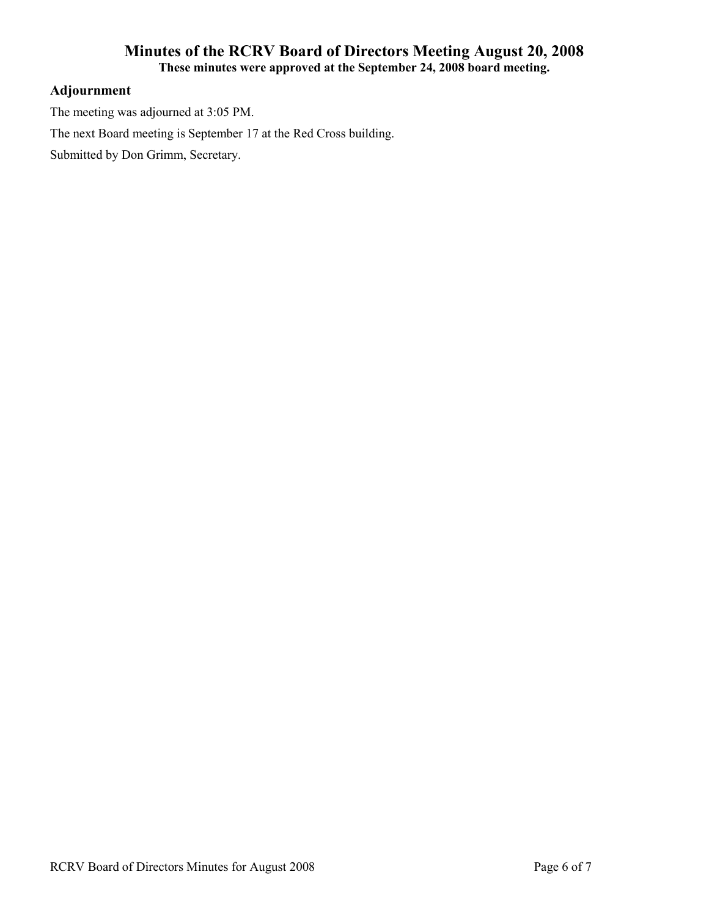## **Adjournment**

The meeting was adjourned at 3:05 PM.

The next Board meeting is September 17 at the Red Cross building.

Submitted by Don Grimm, Secretary.